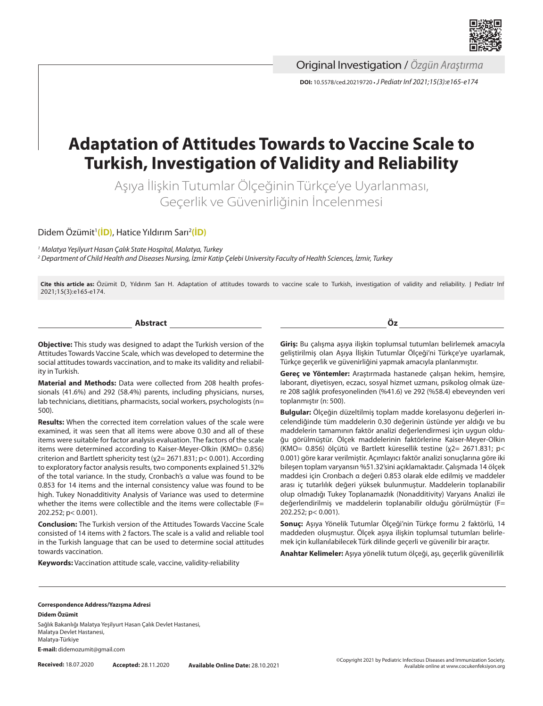

Original Investigation / *Özgün Araştırma*

**DOI:** 10.5578/ced.20219720 **•***J Pediatr Inf 2021;15(3):e165-e174*

# **Adaptation of Attitudes Towards to Vaccine Scale to Turkish, Investigation of Validity and Reliability**

Aşıya İlişkin Tutumlar Ölçeğinin Türkçe'ye Uyarlanması, Geçerlik ve Güvenirliğinin İncelenmesi

Didem Özümit1 **[\(İD\)](https://orcid.org/0000-0001-8501-2315)**, Hatice Yıldırım Sarı2 **[\(İD\)](https://orcid.org/0000-0002-4795-7382)**

*1 Malatya Yeşilyurt Hasan Çalık State Hospital, Malatya, Turkey*

*2 Department of Child Health and Diseases Nursing, İzmir Katip Çelebi University Faculty of Health Sciences, İzmir, Turkey*

**Cite this article as:** Özümit D, Yıldırım Sarı H. Adaptation of attitudes towards to vaccine scale to Turkish, investigation of validity and reliability. J Pediatr Inf 2021;15(3):e165-e174.

**Abstract**

**Objective:** This study was designed to adapt the Turkish version of the Attitudes Towards Vaccine Scale, which was developed to determine the social attitudes towards vaccination, and to make its validity and reliability in Turkish.

**Material and Methods:** Data were collected from 208 health professionals (41.6%) and 292 (58.4%) parents, including physicians, nurses, lab technicians, dietitians, pharmacists, social workers, psychologists (n= 500).

**Results:** When the corrected item correlation values of the scale were examined, it was seen that all items were above 0.30 and all of these items were suitable for factor analysis evaluation. The factors of the scale items were determined according to Kaiser-Meyer-Olkin (KMO= 0.856) criterion and Bartlett sphericity test (χ2= 2671.831; p< 0.001). According to exploratory factor analysis results, two components explained 51.32% of the total variance. In the study, Cronbach's α value was found to be 0.853 for 14 items and the internal consistency value was found to be high. Tukey Nonadditivity Analysis of Variance was used to determine whether the items were collectible and the items were collectable (F= 202.252; p< 0.001).

**Conclusion:** The Turkish version of the Attitudes Towards Vaccine Scale consisted of 14 items with 2 factors. The scale is a valid and reliable tool in the Turkish language that can be used to determine social attitudes towards vaccination.

**Keywords:** Vaccination attitude scale, vaccine, validity-reliability

**Giriş:** Bu çalışma aşıya ilişkin toplumsal tutumları belirlemek amacıyla geliştirilmiş olan Aşıya İlişkin Tutumlar Ölçeği'ni Türkçe'ye uyarlamak, Türkçe geçerlik ve güvenirliğini yapmak amacıyla planlanmıştır.

**Öz**

**Gereç ve Yöntemler:** Araştırmada hastanede çalışan hekim, hemşire, laborant, diyetisyen, eczacı, sosyal hizmet uzmanı, psikolog olmak üzere 208 sağlık profesyonelinden (%41.6) ve 292 (%58.4) ebeveynden veri toplanmıştır (n: 500).

**Bulgular:** Ölçeğin düzeltilmiş toplam madde korelasyonu değerleri incelendiğinde tüm maddelerin 0.30 değerinin üstünde yer aldığı ve bu maddelerin tamamının faktör analizi değerlendirmesi için uygun olduğu görülmüştür. Ölçek maddelerinin faktörlerine Kaiser-Meyer-Olkin (KMO= 0.856) ölçütü ve Bartlett küresellik testine (χ2= 2671.831; p< 0.001) göre karar verilmiştir. Açımlayıcı faktör analizi sonuçlarına göre iki bileşen toplam varyansın %51.32'sini açıklamaktadır. Çalışmada 14 ölçek maddesi için Cronbach α değeri 0.853 olarak elde edilmiş ve maddeler arası iç tutarlılık değeri yüksek bulunmuştur. Maddelerin toplanabilir olup olmadığı Tukey Toplanamazlık (Nonadditivity) Varyans Analizi ile değerlendirilmiş ve maddelerin toplanabilir olduğu görülmüştür (F= 202.252; p< 0.001).

**Sonuç:** Aşıya Yönelik Tutumlar Ölçeği'nin Türkçe formu 2 faktörlü, 14 maddeden oluşmuştur. Ölçek aşıya ilişkin toplumsal tutumları belirlemek için kullanılabilecek Türk dilinde geçerli ve güvenilir bir araçtır.

**Anahtar Kelimeler:** Aşıya yönelik tutum ölçeği, aşı, geçerlik güvenilirlik

#### **Correspondence Address/Yazışma Adresi Didem Özümit**

Sağlık Bakanlığı Malatya Yeşilyurt Hasan Çalık Devlet Hastanesi, Malatya Devlet Hastanesi, Malatya-Türkiye

**E-mail:** didemozumit@gmail.com

**Received:** 18.07.2020 **Accepted:** 28.11.2020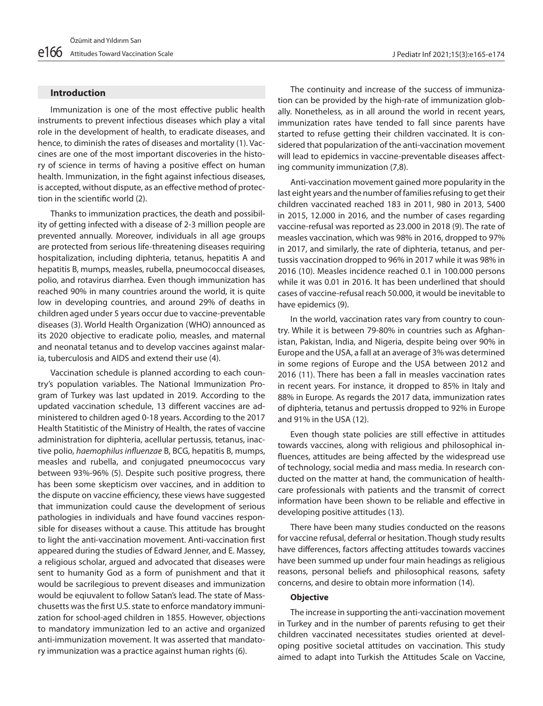## **Introduction**

Immunization is one of the most effective public health instruments to prevent infectious diseases which play a vital role in the development of health, to eradicate diseases, and hence, to diminish the rates of diseases and mortality (1). Vaccines are one of the most important discoveries in the history of science in terms of having a positive effect on human health. Immunization, in the fight against infectious diseases, is accepted, without dispute, as an effective method of protection in the scientific world (2).

Thanks to immunization practices, the death and possibility of getting infected with a disease of 2-3 million people are prevented annually. Moreover, individuals in all age groups are protected from serious life-threatening diseases requiring hospitalization, including diphteria, tetanus, hepatitis A and hepatitis B, mumps, measles, rubella, pneumococcal diseases, polio, and rotavirus diarrhea. Even though immunization has reached 90% in many countries around the world, it is quite low in developing countries, and around 29% of deaths in children aged under 5 years occur due to vaccine-preventable diseases (3). World Health Organization (WHO) announced as its 2020 objective to eradicate polio, measles, and maternal and neonatal tetanus and to develop vaccines against malaria, tuberculosis and AIDS and extend their use (4).

Vaccination schedule is planned according to each country's population variables. The National Immunization Program of Turkey was last updated in 2019. According to the updated vaccination schedule, 13 different vaccines are administered to children aged 0-18 years. According to the 2017 Health Statitistic of the Ministry of Health, the rates of vaccine administration for diphteria, acellular pertussis, tetanus, inactive polio, *haemophilus influenzae* B, BCG, hepatitis B, mumps, measles and rubella, and conjugated pneumococcus vary between 93%-96% (5). Despite such positive progress, there has been some skepticism over vaccines, and in addition to the dispute on vaccine efficiency, these views have suggested that immunization could cause the development of serious pathologies in individuals and have found vaccines responsible for diseases without a cause. This attitude has brought to light the anti-vaccination movement. Anti-vaccination first appeared during the studies of Edward Jenner, and E. Massey, a religious scholar, argued and advocated that diseases were sent to humanity God as a form of punishment and that it would be sacrilegious to prevent diseases and immunization would be eqiuvalent to follow Satan's lead. The state of Masschusetts was the first U.S. state to enforce mandatory immunization for school-aged children in 1855. However, objections to mandatory immunization led to an active and organized anti-immunization movement. It was asserted that mandatory immunization was a practice against human rights (6).

The continuity and increase of the success of immunization can be provided by the high-rate of immunization globally. Nonetheless, as in all around the world in recent years, immunization rates have tended to fall since parents have started to refuse getting their children vaccinated. It is considered that popularization of the anti-vaccination movement will lead to epidemics in vaccine-preventable diseases affecting community immunization (7,8).

Anti-vaccination movement gained more popularity in the last eight years and the number of families refusing to get their children vaccinated reached 183 in 2011, 980 in 2013, 5400 in 2015, 12.000 in 2016, and the number of cases regarding vaccine-refusal was reported as 23.000 in 2018 (9). The rate of measles vaccination, which was 98% in 2016, dropped to 97% in 2017, and similarly, the rate of diphteria, tetanus, and pertussis vaccination dropped to 96% in 2017 while it was 98% in 2016 (10). Measles incidence reached 0.1 in 100.000 persons while it was 0.01 in 2016. It has been underlined that should cases of vaccine-refusal reach 50.000, it would be inevitable to have epidemics (9).

In the world, vaccination rates vary from country to country. While it is between 79-80% in countries such as Afghanistan, Pakistan, India, and Nigeria, despite being over 90% in Europe and the USA, a fall at an average of 3% was determined in some regions of Europe and the USA between 2012 and 2016 (11). There has been a fall in measles vaccination rates in recent years. For instance, it dropped to 85% in Italy and 88% in Europe. As regards the 2017 data, immunization rates of diphteria, tetanus and pertussis dropped to 92% in Europe and 91% in the USA (12).

Even though state policies are still effective in attitudes towards vaccines, along with religious and philosophical influences, attitudes are being affected by the widespread use of technology, social media and mass media. In research conducted on the matter at hand, the communication of healthcare professionals with patients and the transmit of correct information have been shown to be reliable and effective in developing positive attitudes (13).

There have been many studies conducted on the reasons for vaccine refusal, deferral or hesitation. Though study results have differences, factors affecting attitudes towards vaccines have been summed up under four main headings as religious reasons, personal beliefs and philosophical reasons, safety concerns, and desire to obtain more information (14).

## **Objective**

The increase in supporting the anti-vaccination movement in Turkey and in the number of parents refusing to get their children vaccinated necessitates studies oriented at developing positive societal attitudes on vaccination. This study aimed to adapt into Turkish the Attitudes Scale on Vaccine,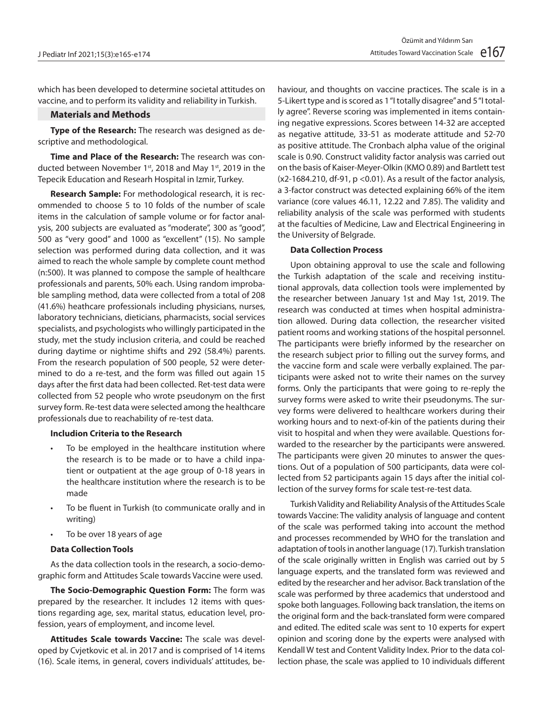which has been developed to determine societal attitudes on vaccine, and to perform its validity and reliability in Turkish.

## **Materials and Methods**

**Type of the Research:** The research was designed as descriptive and methodological.

**Time and Place of the Research:** The research was conducted between November 1<sup>st</sup>, 2018 and May 1<sup>st</sup>, 2019 in the Tepecik Education and Researh Hospital in Izmir, Turkey.

**Research Sample:** For methodological research, it is recommended to choose 5 to 10 folds of the number of scale items in the calculation of sample volume or for factor analysis, 200 subjects are evaluated as "moderate", 300 as "good", 500 as "very good" and 1000 as "excellent" (15). No sample selection was performed during data collection, and it was aimed to reach the whole sample by complete count method (n:500). It was planned to compose the sample of healthcare professionals and parents, 50% each. Using random improbable sampling method, data were collected from a total of 208 (41.6%) heathcare professionals including physicians, nurses, laboratory technicians, dieticians, pharmacists, social services specialists, and psychologists who willingly participated in the study, met the study inclusion criteria, and could be reached during daytime or nightime shifts and 292 (58.4%) parents. From the research population of 500 people, 52 were determined to do a re-test, and the form was filled out again 15 days after the first data had been collected. Ret-test data were collected from 52 people who wrote pseudonym on the first survey form. Re-test data were selected among the healthcare professionals due to reachability of re-test data.

#### **Includion Criteria to the Research**

- To be employed in the healthcare institution where the research is to be made or to have a child inpatient or outpatient at the age group of 0-18 years in the healthcare institution where the research is to be made
- To be fluent in Turkish (to communicate orally and in writing)
- • To be over 18 years of age

## **Data Collection Tools**

As the data collection tools in the research, a socio-demographic form and Attitudes Scale towards Vaccine were used.

**The Socio-Demographic Question Form:** The form was prepared by the researcher. It includes 12 items with questions regarding age, sex, marital status, education level, profession, years of employment, and income level.

**Attitudes Scale towards Vaccine:** The scale was developed by Cvjetkovic et al. in 2017 and is comprised of 14 items (16). Scale items, in general, covers individuals' attitudes, be-

haviour, and thoughts on vaccine practices. The scale is in a 5-Likert type and is scored as 1 "I totally disagree" and 5 "I totally agree". Reverse scoring was implemented in items containing negative expressions. Scores between 14-32 are accepted as negative attitude, 33-51 as moderate attitude and 52-70 as positive attitude. The Cronbach alpha value of the original scale is 0.90. Construct validity factor analysis was carried out on the basis of Kaiser-Meyer-Olkin (KMO 0.89) and Bartlett test  $(x2-1684.210, df-91, p < 0.01)$ . As a result of the factor analysis, a 3-factor construct was detected explaining 66% of the item variance (core values 46.11, 12.22 and 7.85). The validity and reliability analysis of the scale was performed with students at the faculties of Medicine, Law and Electrical Engineering in the University of Belgrade.

## **Data Collection Process**

Upon obtaining approval to use the scale and following the Turkish adaptation of the scale and receiving institutional approvals, data collection tools were implemented by the researcher between January 1st and May 1st, 2019. The research was conducted at times when hospital administration allowed. During data collection, the researcher visited patient rooms and working stations of the hospital personnel. The participants were briefly informed by the researcher on the research subject prior to filling out the survey forms, and the vaccine form and scale were verbally explained. The participants were asked not to write their names on the survey forms. Only the participants that were going to re-reply the survey forms were asked to write their pseudonyms. The survey forms were delivered to healthcare workers during their working hours and to next-of-kin of the patients during their visit to hospital and when they were available. Questions forwarded to the researcher by the participants were answered. The participants were given 20 minutes to answer the questions. Out of a population of 500 participants, data were collected from 52 participants again 15 days after the initial collection of the survey forms for scale test-re-test data.

Turkish Validity and Reliability Analysis of the Attitudes Scale towards Vaccine: The validity analysis of language and content of the scale was performed taking into account the method and processes recommended by WHO for the translation and adaptation of tools in another language (17). Turkish translation of the scale originally written in English was carried out by 5 language experts, and the translated form was reviewed and edited by the researcher and her advisor. Back translation of the scale was performed by three academics that understood and spoke both languages. Following back translation, the items on the original form and the back-translated form were compared and edited. The edited scale was sent to 10 experts for expert opinion and scoring done by the experts were analysed with Kendall W test and Content Validity Index. Prior to the data collection phase, the scale was applied to 10 individuals different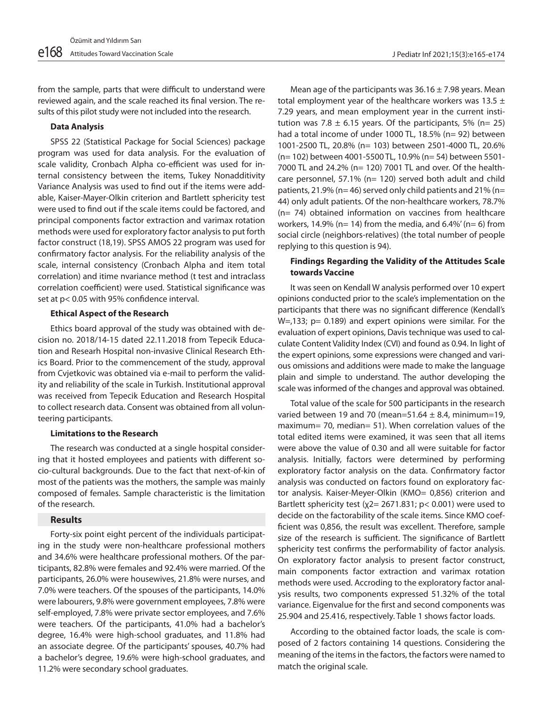from the sample, parts that were difficult to understand were reviewed again, and the scale reached its final version. The results of this pilot study were not included into the research.

## **Data Analysis**

SPSS 22 (Statistical Package for Social Sciences) package program was used for data analysis. For the evaluation of scale validity, Cronbach Alpha co-efficient was used for internal consistency between the items, Tukey Nonadditivity Variance Analysis was used to find out if the items were addable, Kaiser-Mayer-Olkin criterion and Bartlett sphericity test were used to find out if the scale items could be factored, and principal components factor extraction and varimax rotation methods were used for exploratory factor analysis to put forth factor construct (18,19). SPSS AMOS 22 program was used for confirmatory factor analysis. For the reliability analysis of the scale, internal consistency (Cronbach Alpha and item total correlation) and itime nvariance method (t test and intraclass correlation coefficient) were used. Statistical significance was set at p< 0.05 with 95% confidence interval.

## **Ethical Aspect of the Research**

Ethics board approval of the study was obtained with decision no. 2018/14-15 dated 22.11.2018 from Tepecik Education and Researh Hospital non-invasive Clinical Research Ethics Board. Prior to the commencement of the study, approval from Cvjetkovic was obtained via e-mail to perform the validity and reliability of the scale in Turkish. Institutional approval was received from Tepecik Education and Research Hospital to collect research data. Consent was obtained from all volunteering participants.

#### **Limitations to the Research**

The research was conducted at a single hospital considering that it hosted employees and patients with different socio-cultural backgrounds. Due to the fact that next-of-kin of most of the patients was the mothers, the sample was mainly composed of females. Sample characteristic is the limitation of the research.

## **Results**

Forty-six point eight percent of the individuals participating in the study were non-healthcare professional mothers and 34.6% were healthcare professional mothers. Of the participants, 82.8% were females and 92.4% were married. Of the participants, 26.0% were housewives, 21.8% were nurses, and 7.0% were teachers. Of the spouses of the participants, 14.0% were labourers, 9.8% were government employees, 7.8% were self-employed, 7.8% were private sector employees, and 7.6% were teachers. Of the participants, 41.0% had a bachelor's degree, 16.4% were high-school graduates, and 11.8% had an associate degree. Of the participants' spouses, 40.7% had a bachelor's degree, 19.6% were high-school graduates, and 11.2% were secondary school graduates.

Mean age of the participants was  $36.16 \pm 7.98$  years. Mean total employment year of the healthcare workers was 13.5  $\pm$ 7.29 years, and mean employment year in the current institution was 7.8  $\pm$  6.15 years. Of the participants, 5% (n= 25) had a total income of under 1000 TL, 18.5% (n= 92) between 1001-2500 TL, 20.8% (n= 103) between 2501-4000 TL, 20.6% (n= 102) between 4001-5500 TL, 10.9% (n= 54) between 5501- 7000 TL and 24.2% (n= 120) 7001 TL and over. Of the healthcare personnel, 57.1% (n= 120) served both adult and child patients, 21.9% (n= 46) served only child patients and 21% (n= 44) only adult patients. Of the non-healthcare workers, 78.7% (n= 74) obtained information on vaccines from healthcare workers, 14.9% (n= 14) from the media, and  $6.4\%$ ' (n= 6) from social circle (neighbors-relatives) (the total number of people replying to this question is 94).

## **Findings Regarding the Validity of the Attitudes Scale towards Vaccine**

It was seen on Kendall W analysis performed over 10 expert opinions conducted prior to the scale's implementation on the participants that there was no significant difference (Kendall's W=,133; p= 0.189) and expert opinions were similar. For the evaluation of expert opinions, Davis technique was used to calculate Content Validity Index (CVI) and found as 0.94. In light of the expert opinions, some expressions were changed and various omissions and additions were made to make the language plain and simple to understand. The author developing the scale was informed of the changes and approval was obtained.

Total value of the scale for 500 participants in the research varied between 19 and 70 (mean=51.64  $\pm$  8.4, minimum=19, maximum= 70, median= 51). When correlation values of the total edited items were examined, it was seen that all items were above the value of 0.30 and all were suitable for factor analysis. Initially, factors were determined by performing exploratory factor analysis on the data. Confirmatory factor analysis was conducted on factors found on exploratory factor analysis. Kaiser-Meyer-Olkin (KMO= 0,856) criterion and Bartlett sphericity test ( $\chi$ 2= 2671.831; p< 0.001) were used to decide on the factorability of the scale items. Since KMO coefficient was 0,856, the result was excellent. Therefore, sample size of the research is sufficient. The significance of Bartlett sphericity test confirms the performability of factor analysis. On exploratory factor analysis to present factor construct, main components factor extraction and varimax rotation methods were used. Accroding to the exploratory factor analysis results, two components expressed 51.32% of the total variance. Eigenvalue for the first and second components was 25.904 and 25.416, respectively. Table 1 shows factor loads.

According to the obtained factor loads, the scale is composed of 2 factors containing 14 questions. Considering the meaning of the items in the factors, the factors were named to match the original scale.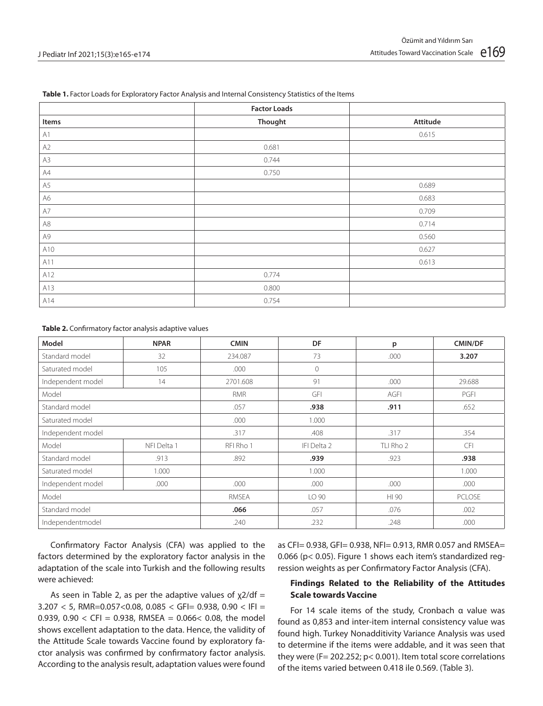#### **Table 1.** Factor Loads for Exploratory Factor Analysis and Internal Consistency Statistics of the Items

|               | <b>Factor Loads</b> |          |
|---------------|---------------------|----------|
| Items         | Thought             | Attitude |
| $\mathsf{A}1$ |                     | 0.615    |
| A2            | 0.681               |          |
| A3            | 0.744               |          |
| A4            | 0.750               |          |
| A5            |                     | 0.689    |
| A6            |                     | 0.683    |
| $\mathsf{A}7$ |                     | 0.709    |
| A8            |                     | 0.714    |
| A9            |                     | 0.560    |
| A10           |                     | 0.627    |
| A11           |                     | 0.613    |
| A12           | 0.774               |          |
| A13           | 0.800               |          |
| A14           | 0.754               |          |

**Table 2.** Confirmatory factor analysis adaptive values

| Model             | <b>NPAR</b> | <b>CMIN</b> | DF           | p           | <b>CMIN/DF</b> |
|-------------------|-------------|-------------|--------------|-------------|----------------|
| Standard model    | 32          | 234.087     | 73           | .000        | 3.207          |
| Saturated model   | 105         | .000        | $\mathbf{0}$ |             |                |
| Independent model | 14          | 2701.608    | 91           | .000        | 29.688         |
| Model             |             | <b>RMR</b>  | GFI          | <b>AGFI</b> | PGFI           |
| Standard model    |             | .057        | .938         | .911        | .652           |
| Saturated model   |             | .000        | 1.000        |             |                |
| Independent model |             | .317        | .408         | .317        | .354           |
| Model             | NFI Delta 1 | RFI Rho 1   | IFI Delta 2  | TLI Rho 2   | CFI            |
| Standard model    | .913        | .892        | .939         | .923        | .938           |
| Saturated model   | 1.000       |             | 1.000        |             | 1.000          |
| Independent model | .000        | .000        | .000         | .000        | .000           |
| Model             |             | RMSEA       | LO 90        | HI 90       | <b>PCLOSE</b>  |
| Standard model    |             | .066        | .057         | .076        | .002           |
| Independentmodel  |             | .240        | .232         | .248        | .000           |

Confirmatory Factor Analysis (CFA) was applied to the factors determined by the exploratory factor analysis in the adaptation of the scale into Turkish and the following results were achieved:

As seen in Table 2, as per the adaptive values of  $\chi$ 2/df = 3.207 < 5, RMR=0.057<0.08, 0.085 < GFI= 0.938, 0.90 < IFI = 0.939, 0.90  $\lt$  CFI = 0.938, RMSEA = 0.066 $\lt$  0.08, the model shows excellent adaptation to the data. Hence, the validity of the Attitude Scale towards Vaccine found by exploratory factor analysis was confirmed by confirmatory factor analysis. According to the analysis result, adaptation values were found as CFI= 0.938, GFI= 0.938, NFI= 0.913, RMR 0.057 and RMSEA= 0.066 (p< 0.05). Figure 1 shows each item's standardized regression weights as per Confirmatory Factor Analysis (CFA).

## **Findings Related to the Reliability of the Attitudes Scale towards Vaccine**

For 14 scale items of the study, Cronbach α value was found as 0,853 and inter-item internal consistency value was found high. Turkey Nonadditivity Variance Analysis was used to determine if the items were addable, and it was seen that they were (F= 202.252; p< 0.001). Item total score correlations of the items varied between 0.418 ile 0.569. (Table 3).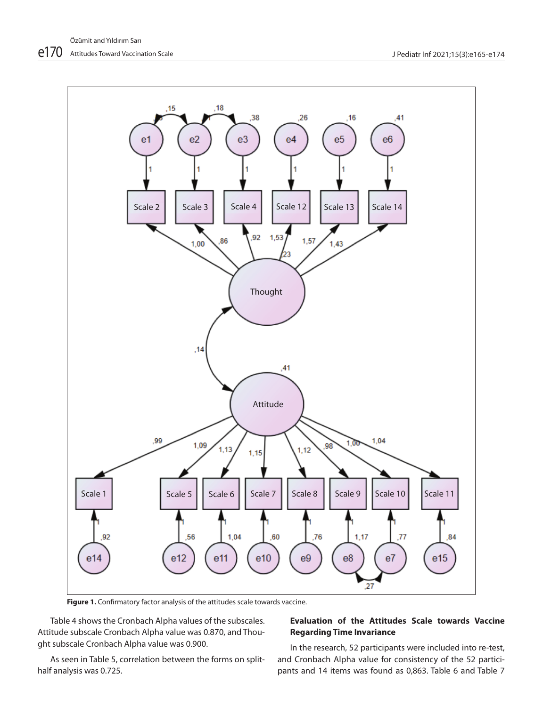

Figure 1. Confirmatory factor analysis of the attitudes scale towards vaccine.

Table 4 shows the Cronbach Alpha values of the subscales. Attitude subscale Cronbach Alpha value was 0.870, and Thought subscale Cronbach Alpha value was 0.900.

As seen in Table 5, correlation between the forms on splithalf analysis was 0.725.

# **Evaluation of the Attitudes Scale towards Vaccine Regarding Time Invariance**

In the research, 52 participants were included into re-test, and Cronbach Alpha value for consistency of the 52 participants and 14 items was found as 0,863. Table 6 and Table 7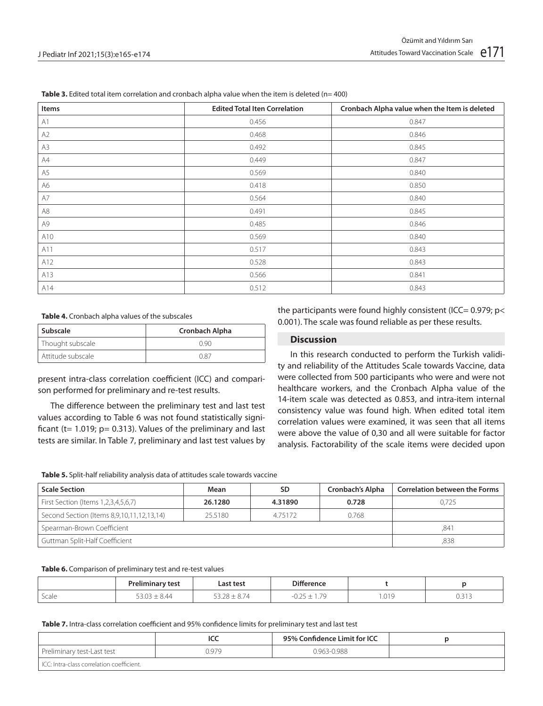| Items         | <b>Edited Total Iten Correlation</b> | Cronbach Alpha value when the Item is deleted |
|---------------|--------------------------------------|-----------------------------------------------|
| A1            | 0.456                                | 0.847                                         |
| A2            | 0.468                                | 0.846                                         |
| A3            | 0.492                                | 0.845                                         |
| A4            | 0.449                                | 0.847                                         |
| A5            | 0.569                                | 0.840                                         |
| A6            | 0.418                                | 0.850                                         |
| $\mathsf{A}7$ | 0.564                                | 0.840                                         |
| A8            | 0.491                                | 0.845                                         |
| A9            | 0.485                                | 0.846                                         |
| A10           | 0.569                                | 0.840                                         |
| A11           | 0.517                                | 0.843                                         |
| A12           | 0.528                                | 0.843                                         |
| A13           | 0.566                                | 0.841                                         |
| A14           | 0.512                                | 0.843                                         |

**Table 3.** Edited total item correlation and cronbach alpha value when the item is deleted (n= 400)

#### **Table 4.** Cronbach alpha values of the subscales

| ' Subscale        | Cronbach Alpha |  |  |
|-------------------|----------------|--|--|
| Thought subscale  | N 90           |  |  |
| Attitude subscale | N 87           |  |  |

present intra-class correlation coefficient (ICC) and comparison performed for preliminary and re-test results.

The difference between the preliminary test and last test values according to Table 6 was not found statistically significant ( $t= 1.019$ ;  $p= 0.313$ ). Values of the preliminary and last tests are similar. In Table 7, preliminary and last test values by the participants were found highly consistent (ICC=  $0.979$ ; p< 0.001). The scale was found reliable as per these results.

## **Discussion**

In this research conducted to perform the Turkish validity and reliability of the Attitudes Scale towards Vaccine, data were collected from 500 participants who were and were not healthcare workers, and the Cronbach Alpha value of the 14-item scale was detected as 0.853, and intra-item internal consistency value was found high. When edited total item correlation values were examined, it was seen that all items were above the value of 0,30 and all were suitable for factor analysis. Factorability of the scale items were decided upon

**Table 5.** Split-half reliability analysis data of attitudes scale towards vaccine

| <b>Scale Section</b>                      | Mean    | SD      | Cronbach's Alpha | <b>Correlation between the Forms</b> |
|-------------------------------------------|---------|---------|------------------|--------------------------------------|
| First Section (Items 1,2,3,4,5,6,7)       | 26.1280 | 4.31890 | 0.728            | 0.725                                |
| Second Section (Items 8,9,10,11,12,13,14) | 25.5180 | 4.75172 | 0.768            |                                      |
| Spearman-Brown Coefficient                | .841    |         |                  |                                      |
| Guttman Split-Half Coefficient            | ,838    |         |                  |                                      |

#### **Table 6.** Comparison of preliminary test and re-test values

|       | the contract of the contract of the contract of the contract of the contract of<br>$   -$ | .ast test<br>.                                                                  | Difference<br>.          |      |                   |
|-------|-------------------------------------------------------------------------------------------|---------------------------------------------------------------------------------|--------------------------|------|-------------------|
| Scale | ≤ 44                                                                                      | the contract of the contract of the contract of the contract of the contract of | $\overline{\phantom{a}}$ | .019 | $\sim$<br>◡.◡ ៲ ◡ |

**Table 7.** Intra-class correlation coefficient and 95% confidence limits for preliminary test and last test

|                                            | ועע   | 95% Confidence Limit for ICC |  |
|--------------------------------------------|-------|------------------------------|--|
| Preliminary test-Last test                 | 0.979 | 0.963-0.988                  |  |
| LICC: Intra-class correlation coefficient. |       |                              |  |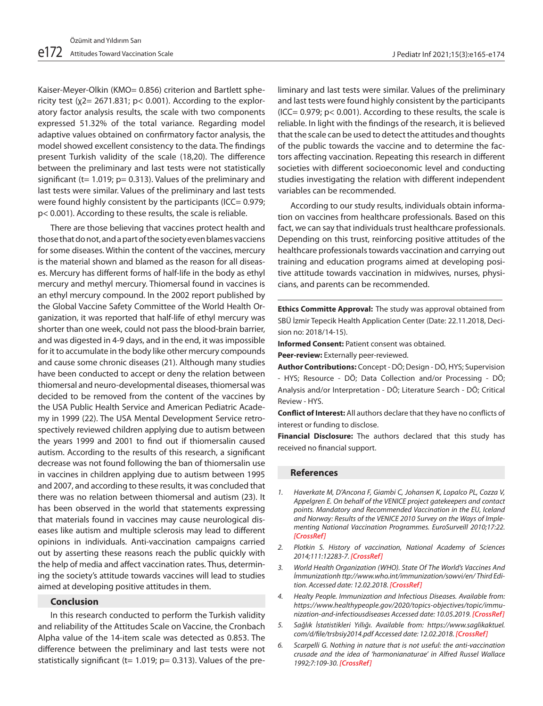Kaiser-Meyer-Olkin (KMO= 0.856) criterion and Bartlett sphericity test  $(y2= 2671.831; p< 0.001)$ . According to the exploratory factor analysis results, the scale with two components expressed 51.32% of the total variance. Regarding model adaptive values obtained on confirmatory factor analysis, the model showed excellent consistency to the data. The findings present Turkish validity of the scale (18,20). The difference between the preliminary and last tests were not statistically significant (t=  $1.019$ ; p= 0.313). Values of the preliminary and last tests were similar. Values of the preliminary and last tests were found highly consistent by the participants (ICC= 0.979; p< 0.001). According to these results, the scale is reliable.

There are those believing that vaccines protect health and those that do not, and a part of the society even blames vacciens for some diseases. Within the content of the vaccines, mercury is the material shown and blamed as the reason for all diseases. Mercury has different forms of half-life in the body as ethyl mercury and methyl mercury. Thiomersal found in vaccines is an ethyl mercury compound. In the 2002 report published by the Global Vaccine Safety Committee of the World Health Organization, it was reported that half-life of ethyl mercury was shorter than one week, could not pass the blood-brain barrier, and was digested in 4-9 days, and in the end, it was impossible for it to accumulate in the body like other mercury compounds and cause some chronic diseases (21). Although many studies have been conducted to accept or deny the relation between thiomersal and neuro-developmental diseases, thiomersal was decided to be removed from the content of the vaccines by the USA Public Health Service and American Pediatric Academy in 1999 (22). The USA Mental Development Service retrospectively reviewed children applying due to autism between the years 1999 and 2001 to find out if thiomersalin caused autism. According to the results of this research, a significant decrease was not found following the ban of thiomersalin use in vaccines in children applying due to autism between 1995 and 2007, and according to these results, it was concluded that there was no relation between thiomersal and autism (23). It has been observed in the world that statements expressing that materials found in vaccines may cause neurological diseases like autism and multiple sclerosis may lead to different opinions in individuals. Anti-vaccination campaigns carried out by asserting these reasons reach the public quickly with the help of media and affect vaccination rates. Thus, determining the society's attitude towards vaccines will lead to studies aimed at developing positive attitudes in them.

## **Conclusion**

In this research conducted to perform the Turkish validity and reliability of the Attitudes Scale on Vaccine, the Cronbach Alpha value of the 14-item scale was detected as 0.853. The difference between the preliminary and last tests were not statistically significant (t=  $1.019$ ; p= 0.313). Values of the preliminary and last tests were similar. Values of the preliminary and last tests were found highly consistent by the participants  $(ICC = 0.979; p < 0.001)$ . According to these results, the scale is reliable. In light with the findings of the research, it is believed that the scale can be used to detect the attitudes and thoughts of the public towards the vaccine and to determine the factors affecting vaccination. Repeating this research in different societies with different socioeconomic level and conducting studies investigating the relation with different independent variables can be recommended.

According to our study results, individuals obtain information on vaccines from healthcare professionals. Based on this fact, we can say that individuals trust healthcare professionals. Depending on this trust, reinforcing positive attitudes of the healthcare professionals towards vaccination and carrying out training and education programs aimed at developing positive attitude towards vaccination in midwives, nurses, physicians, and parents can be recommended.

**Ethics Committe Approval:** The study was approval obtained from SBÜ İzmir Tepecik Health Application Center (Date: 22.11.2018, Decision no: 2018/14-15).

**Informed Consent:** Patient consent was obtained.

**Peer-review:** Externally peer-reviewed.

**Author Contributions:** Concept - DÖ; Design - DÖ, HYS; Supervision - HYS; Resource - DÖ; Data Collection and/or Processing - DÖ; Analysis and/or Interpretation - DÖ; Literature Search - DÖ; Critical Review - HYS.

**Conflict of Interest:** All authors declare that they have no conflicts of interest or funding to disclose.

**Financial Disclosure:** The authors declared that this study has received no financial support.

#### **References**

l

- *1. Haverkate M, D'Ancona F, Giambi C, Johansen K, Lopalco PL, Cozza V, Appelgren E. On behalf of the VENICE project gatekeepers and contact points. Mandatory and Recommended Vaccination in the EU, Iceland and Norway: Results of the VENICE 2010 Survey on the Ways of Implementing National Vaccination Programmes. EuroSurveill 2010;17:22. [\[CrossRef\]](https://doi.org/10.2807/ese.17.22.20183-en)*
- *2. Plotkin S. History of vaccination, National Academy of Sciences 2014;111:12283-7. [\[CrossRef\]](https://doi.org/10.1073/pnas.1400472111)*
- *3. World Health Organization (WHO). State Of The World's Vaccines And İmmunizationh ttp://www.who.int/immunization/sowvi/en/ Third Edition. Accessed date: 12.02.2018. [CrossRef]*
- *4. Healty People. Immunization and Infectious Diseases. Available from: https://www.healthypeople.gov/2020/topics-objectives/topic/immunization-and-infectiousdiseases Accessed date: 10.05.2019. [CrossRef]*
- *5. Sağlık İstatistikleri Yıllığı. Available from: https://www.saglikaktuel. com/d/file/trsbsiy2014.pdf Accessed date: 12.02.2018. [CrossRef]*
- *6. Scarpelli G. Nothing in nature that is not useful: the anti-vaccination crusade and the idea of 'harmonianaturae' in Alfred Russel Wallace 1992;7:109-30. [[CrossRef\]](https://doi.org/10.1163/182539192x00055)*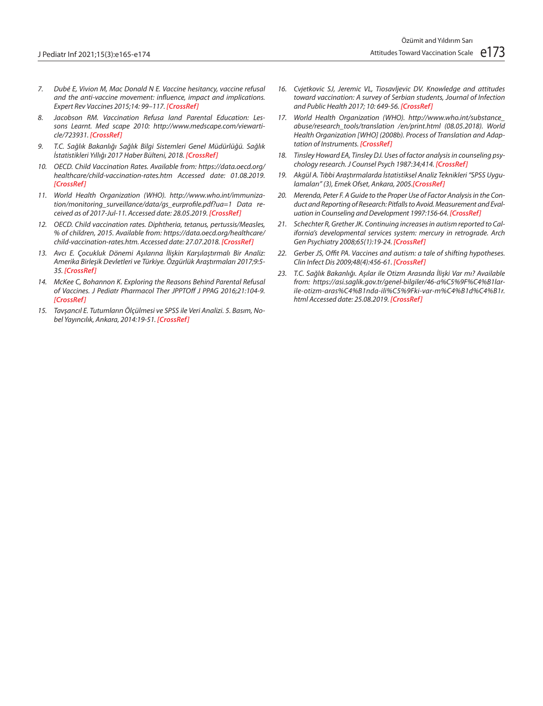- *7. Dubé E, Vivion M, Mac Donald N E. Vaccine hesitancy, vaccine refusal and the anti-vaccine movement: influence, impact and implications. Expert Rev Vaccines 2015;14: 99–117. [\[CrossRef\]](https://doi.org/10.1586/14760584.2015.964212)*
- *8. Jacobson RM. Vaccination Refusa land Parental Education: Lessons Learnt. Med scape 2010: http://www.medscape.com/viewarticle/723931. [CrossRef]*
- *9. T.C. Sağlık Bakanlığı Sağlık Bilgi Sistemleri Genel Müdürlüğü. Sağlık İstatistikleri Yıllığı 2017 Haber Bülteni, 2018. [CrossRef]*
- *10. OECD. Child Vaccination Rates. Available from: https://data.oecd.org/ healthcare/child-vaccination-rates.htm Accessed date: 01.08.2019. [CrossRef]*
- *11. World Health Organization (WHO). http://www.who.int/immunization/monitoring\_surveillance/data/gs\_eurprofile.pdf?ua=1 Data received as of 2017-Jul-11. Accessed date: 28.05.2019. [CrossRef]*
- *12. OECD. Child vaccination rates. Diphtheria, tetanus, pertussis/Measles, % of children, 2015. Available from: https://data.oecd.org/healthcare/ child-vaccination-rates.htm. Accessed date: 27.07.2018. [CrossRef]*
- *13. Avcı E. Çocukluk Dönemi Aşılarına İlişkin Karşılaştırmalı Bir Analiz: Amerika Birleşik Devletleri ve Türkiye. Özgürlük Araştırmaları 2017;9:5- 35. [CrossRef]*
- *14. McKee C, Bohannon K. Exploring the Reasons Behind Parental Refusal of Vaccines. J Pediatr Pharmacol Ther JPPTOff J PPAG 2016;21:104-9. [CrossRef]*
- *15. Tavşancıl E. Tutumların Ölçülmesi ve SPSS ile Veri Analizi. 5. Basım, Nobel Yayıncılık, Ankara, 2014:19-51. [CrossRef]*
- *16. Cvjetkovic SJ, Jeremic VL, Tiosavljevic DV. Knowledge and attitudes toward vaccination: A survey of Serbian students, Journal of Infection and Public Health 2017; 10: 649-56. [CrossRef]*
- *17. World Health Organization (WHO). http://www.who.int/substance\_ abuse/research\_tools/translation /en/print.html (08.05.2018). World Health Organization [WHO] (2008b). Process of Translation and Adaptation of Instruments. [CrossRef]*
- *18. Tinsley Howard EA, Tinsley DJ. Uses of factor analysis in counseling psychology research. J Counsel Psych 1987:34;414. [CrossRef]*
- *19. Akgül A. Tıbbi Araştırmalarda İstatistiksel Analiz Teknikleri "SPSS Uygulamaları" (3), Emek Ofset, Ankara, 2005.[CrossRef]*
- *20. Merenda, Peter F. A Guide to the Proper Use of Factor Analysis in the Conduct and Reporting of Research: Pitfalls to Avoid. Measurement and Evaluation in Counseling and Development 1997:156-64. [\[CrossRef\]](https://doi.org/10.1080/07481756.1997.12068936)*
- *21. Schechter R, Grether JK. Continuing increases in autism reported to California's developmental services system: mercury in retrograde. Arch Gen Psychiatry 2008;65(1):19-24. [CrossRef]*
- *22. Gerber JS, Offit PA. Vaccines and autism: a tale of shifting hypotheses. Clin Infect Dis 2009;48(4):456-61. [\[CrossRef\]](https://doi.org/10.1086/596476)*
- *23. T.C. Sağlık Bakanlığı. Aşılar ile Otizm Arasında İlişki Var mı? Available from: https://asi.saglik.gov.tr/genel-bilgiler/46-a%C5%9F%C4%B1larile-otizm-aras%C4%B1nda-ili%C5%9Fki-var-m%C4%B1d%C4%B1r. html Accessed date: 25.08.2019. [CrossRef]*